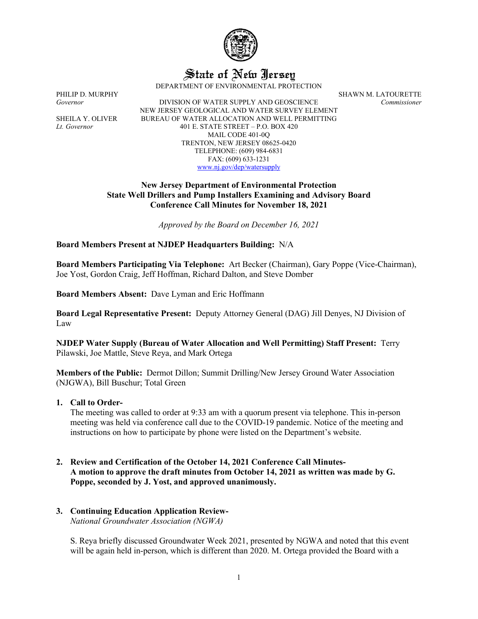

State of New Jersey

DEPARTMENT OF ENVIRONMENTAL PROTECTION

PHILIP D. MURPHY SHAWN M. LATOURETTE

*Governor* DIVISION OF WATER SUPPLY AND GEOSCIENCE *Commissioner* NEW JERSEY GEOLOGICAL AND WATER SURVEY ELEMENT SHEILA Y. OLIVER BUREAU OF WATER ALLOCATION AND WELL PERMITTING *Lt. Governor* 401 E. STATE STREET – P.O. BOX 420 MAIL CODE 401-0Q TRENTON, NEW JERSEY 08625-0420 TELEPHONE: (609) 984-6831 FAX: (609) 633-1231 [www.nj.gov/dep/watersupply](http://www.nj.gov/dep/watersupply)

### **New Jersey Department of Environmental Protection State Well Drillers and Pump Installers Examining and Advisory Board Conference Call Minutes for November 18, 2021**

*Approved by the Board on December 16, 2021*

### **Board Members Present at NJDEP Headquarters Building:** N/A

**Board Members Participating Via Telephone:** Art Becker (Chairman), Gary Poppe (Vice-Chairman), Joe Yost, Gordon Craig, Jeff Hoffman, Richard Dalton, and Steve Domber

**Board Members Absent:** Dave Lyman and Eric Hoffmann

**Board Legal Representative Present:** Deputy Attorney General (DAG) Jill Denyes, NJ Division of Law

**NJDEP Water Supply (Bureau of Water Allocation and Well Permitting) Staff Present:** Terry Pilawski, Joe Mattle, Steve Reya, and Mark Ortega

**Members of the Public:** Dermot Dillon; Summit Drilling/New Jersey Ground Water Association (NJGWA), Bill Buschur; Total Green

#### **1. Call to Order-**

The meeting was called to order at 9:33 am with a quorum present via telephone. This in-person meeting was held via conference call due to the COVID-19 pandemic. Notice of the meeting and instructions on how to participate by phone were listed on the Department's website.

**2. Review and Certification of the October 14, 2021 Conference Call Minutes-A motion to approve the draft minutes from October 14, 2021 as written was made by G. Poppe, seconded by J. Yost, and approved unanimously.**

# **3. Continuing Education Application Review-**

*National Groundwater Association (NGWA)*

S. Reya briefly discussed Groundwater Week 2021, presented by NGWA and noted that this event will be again held in-person, which is different than 2020. M. Ortega provided the Board with a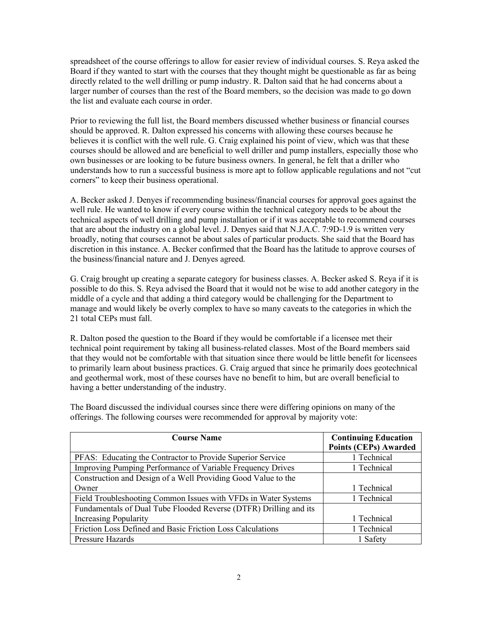spreadsheet of the course offerings to allow for easier review of individual courses. S. Reya asked the Board if they wanted to start with the courses that they thought might be questionable as far as being directly related to the well drilling or pump industry. R. Dalton said that he had concerns about a larger number of courses than the rest of the Board members, so the decision was made to go down the list and evaluate each course in order.

Prior to reviewing the full list, the Board members discussed whether business or financial courses should be approved. R. Dalton expressed his concerns with allowing these courses because he believes it is conflict with the well rule. G. Craig explained his point of view, which was that these courses should be allowed and are beneficial to well driller and pump installers, especially those who own businesses or are looking to be future business owners. In general, he felt that a driller who understands how to run a successful business is more apt to follow applicable regulations and not "cut corners" to keep their business operational.

A. Becker asked J. Denyes if recommending business/financial courses for approval goes against the well rule. He wanted to know if every course within the technical category needs to be about the technical aspects of well drilling and pump installation or if it was acceptable to recommend courses that are about the industry on a global level. J. Denyes said that N.J.A.C. 7:9D-1.9 is written very broadly, noting that courses cannot be about sales of particular products. She said that the Board has discretion in this instance. A. Becker confirmed that the Board has the latitude to approve courses of the business/financial nature and J. Denyes agreed.

G. Craig brought up creating a separate category for business classes. A. Becker asked S. Reya if it is possible to do this. S. Reya advised the Board that it would not be wise to add another category in the middle of a cycle and that adding a third category would be challenging for the Department to manage and would likely be overly complex to have so many caveats to the categories in which the 21 total CEPs must fall.

R. Dalton posed the question to the Board if they would be comfortable if a licensee met their technical point requirement by taking all business-related classes. Most of the Board members said that they would not be comfortable with that situation since there would be little benefit for licensees to primarily learn about business practices. G. Craig argued that since he primarily does geotechnical and geothermal work, most of these courses have no benefit to him, but are overall beneficial to having a better understanding of the industry.

The Board discussed the individual courses since there were differing opinions on many of the offerings. The following courses were recommended for approval by majority vote:

| <b>Course Name</b>                                                | <b>Continuing Education</b>  |  |
|-------------------------------------------------------------------|------------------------------|--|
|                                                                   | <b>Points (CEPs) Awarded</b> |  |
| PFAS: Educating the Contractor to Provide Superior Service        | 1 Technical                  |  |
| Improving Pumping Performance of Variable Frequency Drives        | 1 Technical                  |  |
| Construction and Design of a Well Providing Good Value to the     |                              |  |
| Owner                                                             | 1 Technical                  |  |
| Field Troubleshooting Common Issues with VFDs in Water Systems    | 1 Technical                  |  |
| Fundamentals of Dual Tube Flooded Reverse (DTFR) Drilling and its |                              |  |
| <b>Increasing Popularity</b>                                      | 1 Technical                  |  |
| Friction Loss Defined and Basic Friction Loss Calculations        | 1 Technical                  |  |
| Pressure Hazards                                                  | 1 Safety                     |  |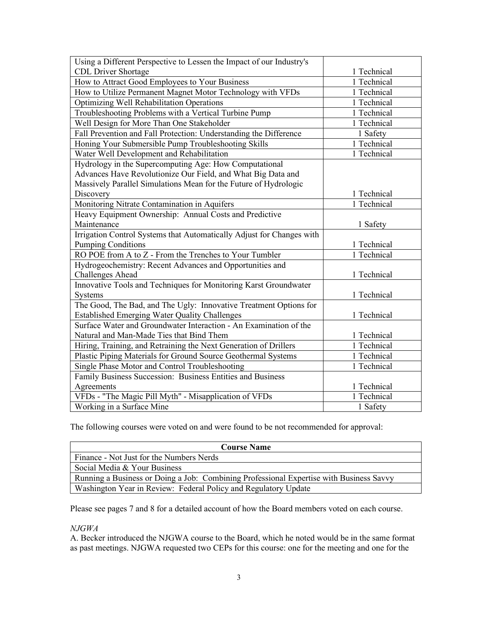| Using a Different Perspective to Lessen the Impact of our Industry's  |             |  |
|-----------------------------------------------------------------------|-------------|--|
| <b>CDL</b> Driver Shortage                                            | 1 Technical |  |
| How to Attract Good Employees to Your Business                        | 1 Technical |  |
| How to Utilize Permanent Magnet Motor Technology with VFDs            | 1 Technical |  |
| <b>Optimizing Well Rehabilitation Operations</b>                      | 1 Technical |  |
| Troubleshooting Problems with a Vertical Turbine Pump                 | 1 Technical |  |
| Well Design for More Than One Stakeholder                             | 1 Technical |  |
| Fall Prevention and Fall Protection: Understanding the Difference     | 1 Safety    |  |
| Honing Your Submersible Pump Troubleshooting Skills                   | 1 Technical |  |
| Water Well Development and Rehabilitation                             | 1 Technical |  |
| Hydrology in the Supercomputing Age: How Computational                |             |  |
| Advances Have Revolutionize Our Field, and What Big Data and          |             |  |
| Massively Parallel Simulations Mean for the Future of Hydrologic      |             |  |
| Discovery                                                             | 1 Technical |  |
| Monitoring Nitrate Contamination in Aquifers                          | 1 Technical |  |
| Heavy Equipment Ownership: Annual Costs and Predictive                |             |  |
| Maintenance                                                           | 1 Safety    |  |
| Irrigation Control Systems that Automatically Adjust for Changes with |             |  |
| <b>Pumping Conditions</b>                                             | 1 Technical |  |
| RO POE from A to Z - From the Trenches to Your Tumbler                | 1 Technical |  |
| Hydrogeochemistry: Recent Advances and Opportunities and              |             |  |
| Challenges Ahead                                                      | 1 Technical |  |
| Innovative Tools and Techniques for Monitoring Karst Groundwater      |             |  |
| Systems                                                               | 1 Technical |  |
| The Good, The Bad, and The Ugly: Innovative Treatment Options for     |             |  |
| <b>Established Emerging Water Quality Challenges</b>                  | 1 Technical |  |
| Surface Water and Groundwater Interaction - An Examination of the     |             |  |
| Natural and Man-Made Ties that Bind Them                              | 1 Technical |  |
| Hiring, Training, and Retraining the Next Generation of Drillers      | 1 Technical |  |
| Plastic Piping Materials for Ground Source Geothermal Systems         | 1 Technical |  |
| Single Phase Motor and Control Troubleshooting                        | 1 Technical |  |
| Family Business Succession: Business Entities and Business            |             |  |
| Agreements                                                            | 1 Technical |  |
| VFDs - "The Magic Pill Myth" - Misapplication of VFDs                 | 1 Technical |  |
| Working in a Surface Mine                                             | 1 Safety    |  |

The following courses were voted on and were found to be not recommended for approval:

| <b>Course Name</b>                                                                      |  |  |
|-----------------------------------------------------------------------------------------|--|--|
| Finance - Not Just for the Numbers Nerds                                                |  |  |
| Social Media & Your Business                                                            |  |  |
| Running a Business or Doing a Job: Combining Professional Expertise with Business Savvy |  |  |
| Washington Year in Review: Federal Policy and Regulatory Update                         |  |  |

Please see pages 7 and 8 for a detailed account of how the Board members voted on each course.

# *NJGWA*

A. Becker introduced the NJGWA course to the Board, which he noted would be in the same format as past meetings. NJGWA requested two CEPs for this course: one for the meeting and one for the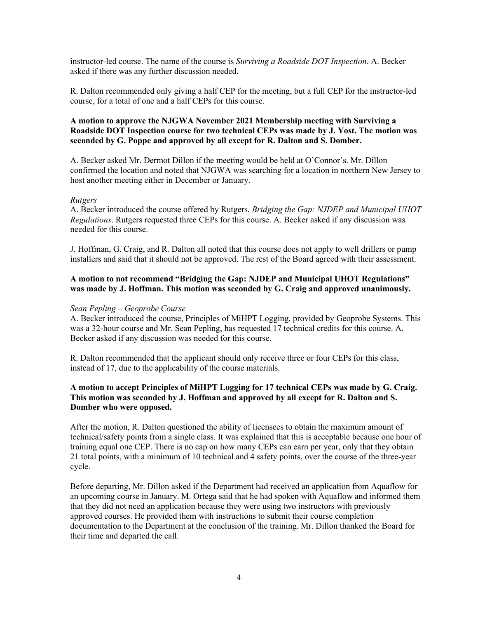instructor-led course. The name of the course is *Surviving a Roadside DOT Inspection*. A. Becker asked if there was any further discussion needed.

R. Dalton recommended only giving a half CEP for the meeting, but a full CEP for the instructor-led course, for a total of one and a half CEPs for this course.

# **A motion to approve the NJGWA November 2021 Membership meeting with Surviving a Roadside DOT Inspection course for two technical CEPs was made by J. Yost. The motion was seconded by G. Poppe and approved by all except for R. Dalton and S. Domber.**

A. Becker asked Mr. Dermot Dillon if the meeting would be held at O'Connor's. Mr. Dillon confirmed the location and noted that NJGWA was searching for a location in northern New Jersey to host another meeting either in December or January.

#### *Rutgers*

A. Becker introduced the course offered by Rutgers, *Bridging the Gap: NJDEP and Municipal UHOT Regulations*. Rutgers requested three CEPs for this course. A. Becker asked if any discussion was needed for this course.

J. Hoffman, G. Craig, and R. Dalton all noted that this course does not apply to well drillers or pump installers and said that it should not be approved. The rest of the Board agreed with their assessment.

### **A motion to not recommend "Bridging the Gap: NJDEP and Municipal UHOT Regulations" was made by J. Hoffman. This motion was seconded by G. Craig and approved unanimously.**

#### *Sean Pepling – Geoprobe Course*

A. Becker introduced the course, Principles of MiHPT Logging, provided by Geoprobe Systems. This was a 32-hour course and Mr. Sean Pepling, has requested 17 technical credits for this course. A. Becker asked if any discussion was needed for this course.

R. Dalton recommended that the applicant should only receive three or four CEPs for this class, instead of 17, due to the applicability of the course materials.

# **A motion to accept Principles of MiHPT Logging for 17 technical CEPs was made by G. Craig. This motion was seconded by J. Hoffman and approved by all except for R. Dalton and S. Domber who were opposed.**

After the motion, R. Dalton questioned the ability of licensees to obtain the maximum amount of technical/safety points from a single class. It was explained that this is acceptable because one hour of training equal one CEP. There is no cap on how many CEPs can earn per year, only that they obtain 21 total points, with a minimum of 10 technical and 4 safety points, over the course of the three-year cycle.

Before departing, Mr. Dillon asked if the Department had received an application from Aquaflow for an upcoming course in January. M. Ortega said that he had spoken with Aquaflow and informed them that they did not need an application because they were using two instructors with previously approved courses. He provided them with instructions to submit their course completion documentation to the Department at the conclusion of the training. Mr. Dillon thanked the Board for their time and departed the call.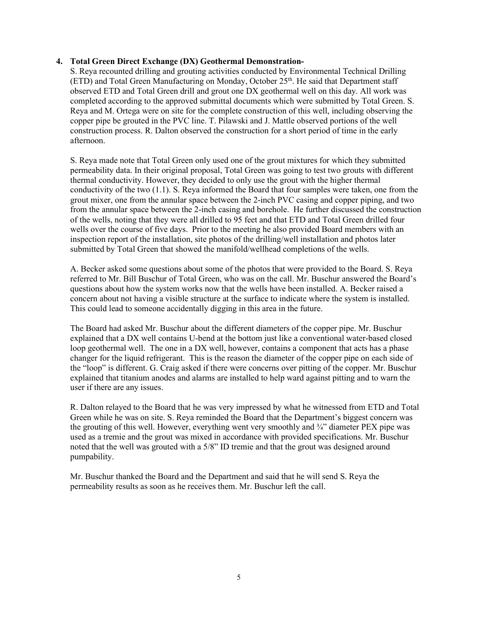# **4. Total Green Direct Exchange (DX) Geothermal Demonstration-**

S. Reya recounted drilling and grouting activities conducted by Environmental Technical Drilling  $(ETD)$  and Total Green Manufacturing on Monday, October 25<sup>th</sup>. He said that Department staff observed ETD and Total Green drill and grout one DX geothermal well on this day. All work was completed according to the approved submittal documents which were submitted by Total Green. S. Reya and M. Ortega were on site for the complete construction of this well, including observing the copper pipe be grouted in the PVC line. T. Pilawski and J. Mattle observed portions of the well construction process. R. Dalton observed the construction for a short period of time in the early afternoon.

S. Reya made note that Total Green only used one of the grout mixtures for which they submitted permeability data. In their original proposal, Total Green was going to test two grouts with different thermal conductivity. However, they decided to only use the grout with the higher thermal conductivity of the two (1.1). S. Reya informed the Board that four samples were taken, one from the grout mixer, one from the annular space between the 2-inch PVC casing and copper piping, and two from the annular space between the 2-inch casing and borehole. He further discussed the construction of the wells, noting that they were all drilled to 95 feet and that ETD and Total Green drilled four wells over the course of five days. Prior to the meeting he also provided Board members with an inspection report of the installation, site photos of the drilling/well installation and photos later submitted by Total Green that showed the manifold/wellhead completions of the wells.

A. Becker asked some questions about some of the photos that were provided to the Board. S. Reya referred to Mr. Bill Buschur of Total Green, who was on the call. Mr. Buschur answered the Board's questions about how the system works now that the wells have been installed. A. Becker raised a concern about not having a visible structure at the surface to indicate where the system is installed. This could lead to someone accidentally digging in this area in the future.

The Board had asked Mr. Buschur about the different diameters of the copper pipe. Mr. Buschur explained that a DX well contains U-bend at the bottom just like a conventional water-based closed loop geothermal well. The one in a DX well, however, contains a component that acts has a phase changer for the liquid refrigerant. This is the reason the diameter of the copper pipe on each side of the "loop" is different. G. Craig asked if there were concerns over pitting of the copper. Mr. Buschur explained that titanium anodes and alarms are installed to help ward against pitting and to warn the user if there are any issues.

R. Dalton relayed to the Board that he was very impressed by what he witnessed from ETD and Total Green while he was on site. S. Reya reminded the Board that the Department's biggest concern was the grouting of this well. However, everything went very smoothly and  $\frac{3}{4}$  diameter PEX pipe was used as a tremie and the grout was mixed in accordance with provided specifications. Mr. Buschur noted that the well was grouted with a 5/8" ID tremie and that the grout was designed around pumpability.

Mr. Buschur thanked the Board and the Department and said that he will send S. Reya the permeability results as soon as he receives them. Mr. Buschur left the call.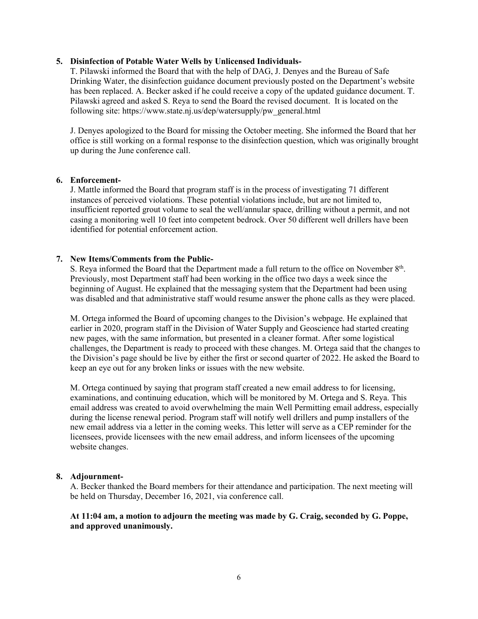# **5. Disinfection of Potable Water Wells by Unlicensed Individuals-**

T. Pilawski informed the Board that with the help of DAG, J. Denyes and the Bureau of Safe Drinking Water, the disinfection guidance document previously posted on the Department's website has been replaced. A. Becker asked if he could receive a copy of the updated guidance document. T. Pilawski agreed and asked S. Reya to send the Board the revised document. It is located on the following site: https://www.state.nj.us/dep/watersupply/pw\_general.html

J. Denyes apologized to the Board for missing the October meeting. She informed the Board that her office is still working on a formal response to the disinfection question, which was originally brought up during the June conference call.

### **6. Enforcement-**

J. Mattle informed the Board that program staff is in the process of investigating 71 different instances of perceived violations. These potential violations include, but are not limited to, insufficient reported grout volume to seal the well/annular space, drilling without a permit, and not casing a monitoring well 10 feet into competent bedrock. Over 50 different well drillers have been identified for potential enforcement action.

### **7. New Items/Comments from the Public-**

S. Reya informed the Board that the Department made a full return to the office on November  $8<sup>th</sup>$ . Previously, most Department staff had been working in the office two days a week since the beginning of August. He explained that the messaging system that the Department had been using was disabled and that administrative staff would resume answer the phone calls as they were placed.

M. Ortega informed the Board of upcoming changes to the Division's webpage. He explained that earlier in 2020, program staff in the Division of Water Supply and Geoscience had started creating new pages, with the same information, but presented in a cleaner format. After some logistical challenges, the Department is ready to proceed with these changes. M. Ortega said that the changes to the Division's page should be live by either the first or second quarter of 2022. He asked the Board to keep an eye out for any broken links or issues with the new website.

M. Ortega continued by saying that program staff created a new email address to for licensing, examinations, and continuing education, which will be monitored by M. Ortega and S. Reya. This email address was created to avoid overwhelming the main Well Permitting email address, especially during the license renewal period. Program staff will notify well drillers and pump installers of the new email address via a letter in the coming weeks. This letter will serve as a CEP reminder for the licensees, provide licensees with the new email address, and inform licensees of the upcoming website changes.

# **8. Adjournment-**

A. Becker thanked the Board members for their attendance and participation. The next meeting will be held on Thursday, December 16, 2021, via conference call.

# **At 11:04 am, a motion to adjourn the meeting was made by G. Craig, seconded by G. Poppe, and approved unanimously.**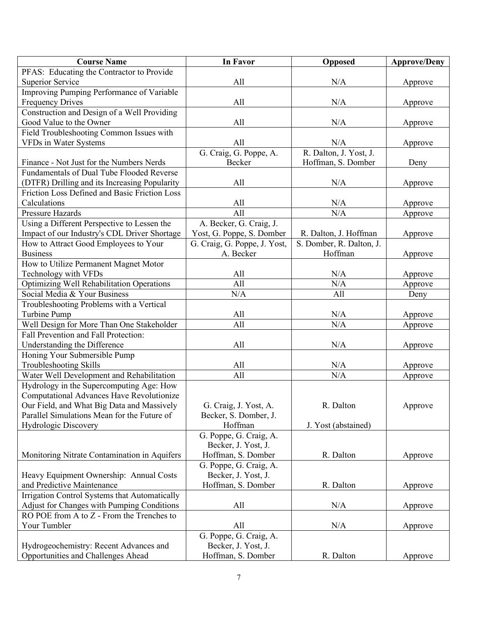| <b>Course Name</b>                            | <b>In Favor</b>              | <b>Opposed</b>           | <b>Approve/Deny</b> |
|-----------------------------------------------|------------------------------|--------------------------|---------------------|
| PFAS: Educating the Contractor to Provide     |                              |                          |                     |
| <b>Superior Service</b>                       | All                          | N/A                      | Approve             |
| Improving Pumping Performance of Variable     |                              |                          |                     |
| <b>Frequency Drives</b>                       | All                          | N/A                      | Approve             |
| Construction and Design of a Well Providing   |                              |                          |                     |
| Good Value to the Owner                       | All                          | N/A                      | Approve             |
| Field Troubleshooting Common Issues with      |                              |                          |                     |
| VFDs in Water Systems                         | All                          | N/A                      | Approve             |
|                                               | G. Craig, G. Poppe, A.       | R. Dalton, J. Yost, J.   |                     |
| Finance - Not Just for the Numbers Nerds      | Becker                       | Hoffman, S. Domber       | Deny                |
| Fundamentals of Dual Tube Flooded Reverse     |                              |                          |                     |
| (DTFR) Drilling and its Increasing Popularity | All                          | N/A                      | Approve             |
| Friction Loss Defined and Basic Friction Loss |                              |                          |                     |
| Calculations                                  | All                          | N/A                      | Approve             |
| <b>Pressure Hazards</b>                       | All                          | N/A                      | Approve             |
| Using a Different Perspective to Lessen the   | A. Becker, G. Craig, J.      |                          |                     |
| Impact of our Industry's CDL Driver Shortage  | Yost, G. Poppe, S. Domber    | R. Dalton, J. Hoffman    | Approve             |
| How to Attract Good Employees to Your         | G. Craig, G. Poppe, J. Yost, | S. Domber, R. Dalton, J. |                     |
| <b>Business</b>                               | A. Becker                    | Hoffman                  | Approve             |
| How to Utilize Permanent Magnet Motor         |                              |                          |                     |
| Technology with VFDs                          | All                          | N/A                      | Approve             |
| Optimizing Well Rehabilitation Operations     | All                          | N/A                      | Approve             |
| Social Media & Your Business                  | N/A                          | All                      | Deny                |
| Troubleshooting Problems with a Vertical      |                              |                          |                     |
| Turbine Pump                                  | All                          | N/A                      | Approve             |
| Well Design for More Than One Stakeholder     | All                          | N/A                      | Approve             |
| Fall Prevention and Fall Protection:          |                              |                          |                     |
| Understanding the Difference                  | All                          | N/A                      | Approve             |
| Honing Your Submersible Pump                  |                              |                          |                     |
| <b>Troubleshooting Skills</b>                 | All                          | N/A                      | Approve             |
| Water Well Development and Rehabilitation     | All                          | N/A                      | Approve             |
| Hydrology in the Supercomputing Age: How      |                              |                          |                     |
| Computational Advances Have Revolutionize     |                              |                          |                     |
| Our Field, and What Big Data and Massively    | G. Craig, J. Yost, A.        | R. Dalton                | Approve             |
| Parallel Simulations Mean for the Future of   | Becker, S. Domber, J.        |                          |                     |
| Hydrologic Discovery                          | Hoffman                      | J. Yost (abstained)      |                     |
|                                               | G. Poppe, G. Craig, A.       |                          |                     |
|                                               | Becker, J. Yost, J.          |                          |                     |
| Monitoring Nitrate Contamination in Aquifers  | Hoffman, S. Domber           | R. Dalton                | Approve             |
|                                               | G. Poppe, G. Craig, A.       |                          |                     |
| Heavy Equipment Ownership: Annual Costs       | Becker, J. Yost, J.          |                          |                     |
| and Predictive Maintenance                    | Hoffman, S. Domber           | R. Dalton                | Approve             |
| Irrigation Control Systems that Automatically |                              |                          |                     |
| Adjust for Changes with Pumping Conditions    | All                          | N/A                      | Approve             |
| RO POE from A to Z - From the Trenches to     |                              |                          |                     |
| Your Tumbler                                  | All                          | N/A                      | Approve             |
|                                               | G. Poppe, G. Craig, A.       |                          |                     |
| Hydrogeochemistry: Recent Advances and        | Becker, J. Yost, J.          |                          |                     |
| Opportunities and Challenges Ahead            | Hoffman, S. Domber           | R. Dalton                | Approve             |